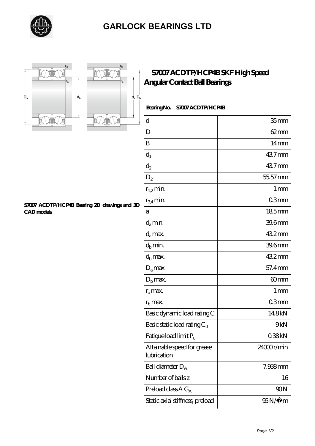

## **[GARLOCK BEARINGS LTD](https://letterstopriests.com)**





### **[S7007 ACDTP/HCP4B SKF High Speed](https://letterstopriests.com/skf-bearing/s7007-acdtp-hcp4b.html) [Angular Contact Ball Bearings](https://letterstopriests.com/skf-bearing/s7007-acdtp-hcp4b.html)**

#### **Bearing No. S7007 ACDTP/HCP4B**

| d                                          | 35 <sub>mm</sub>  |
|--------------------------------------------|-------------------|
| D                                          | $62 \text{mm}$    |
| B                                          | 14 <sub>mm</sub>  |
| $d_1$                                      | 437mm             |
| $\mathrm{d}_2$                             | 437mm             |
| $D_2$                                      | 55.57 mm          |
| $r_{1,2}$ min.                             | $1 \,\mathrm{mm}$ |
| $r_{34}$ min.                              | 03mm              |
| a                                          | 185mm             |
| $d_a$ min.                                 | 39.6mm            |
| $d_a$ max.                                 | 432mm             |
| $d_b$ min.                                 | 39.6mm            |
| $d_b$ max.                                 | 432mm             |
| $D_a$ max.                                 | 57.4mm            |
| $Db$ max.                                  | 60mm              |
| $r_a$ max.                                 | $1 \,\mathrm{mm}$ |
| $r_{\rm b}$ max.                           | 03mm              |
| Basic dynamic load rating C                | 148kN             |
| Basic static load rating $C_0$             | 9kN               |
| Fatigue load limit $P_u$                   | 038kN             |
| Attainable speed for grease<br>lubrication | 24000r/min        |
| Ball diameter $D_w$                        | 7.938mm           |
| Number of balls z                          | 16                |
| Preload class $A G_A$                      | 90N               |
| Static axial stiffness, preload            | 95N/μ m           |

#### **[S7007 ACDTP/HCP4B Bearing 2D drawings and 3D](https://letterstopriests.com/pic-935101.html) [CAD models](https://letterstopriests.com/pic-935101.html)**